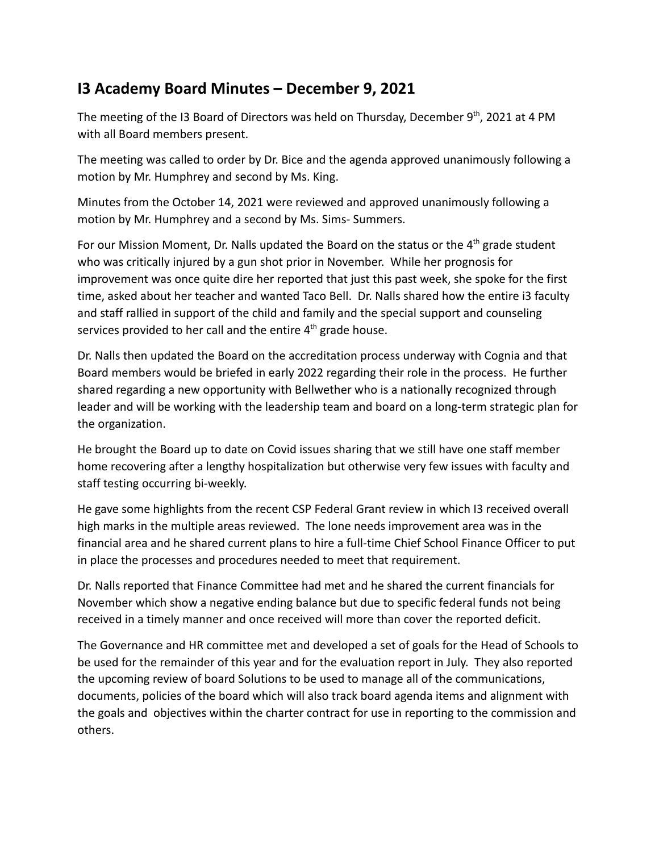## **I3 Academy Board Minutes – December 9, 2021**

The meeting of the I3 Board of Directors was held on Thursday, December 9<sup>th</sup>, 2021 at 4 PM with all Board members present.

The meeting was called to order by Dr. Bice and the agenda approved unanimously following a motion by Mr. Humphrey and second by Ms. King.

Minutes from the October 14, 2021 were reviewed and approved unanimously following a motion by Mr. Humphrey and a second by Ms. Sims- Summers.

For our Mission Moment, Dr. Nalls updated the Board on the status or the  $4<sup>th</sup>$  grade student who was critically injured by a gun shot prior in November. While her prognosis for improvement was once quite dire her reported that just this past week, she spoke for the first time, asked about her teacher and wanted Taco Bell. Dr. Nalls shared how the entire i3 faculty and staff rallied in support of the child and family and the special support and counseling services provided to her call and the entire  $4<sup>th</sup>$  grade house.

Dr. Nalls then updated the Board on the accreditation process underway with Cognia and that Board members would be briefed in early 2022 regarding their role in the process. He further shared regarding a new opportunity with Bellwether who is a nationally recognized through leader and will be working with the leadership team and board on a long-term strategic plan for the organization.

He brought the Board up to date on Covid issues sharing that we still have one staff member home recovering after a lengthy hospitalization but otherwise very few issues with faculty and staff testing occurring bi-weekly.

He gave some highlights from the recent CSP Federal Grant review in which I3 received overall high marks in the multiple areas reviewed. The lone needs improvement area was in the financial area and he shared current plans to hire a full-time Chief School Finance Officer to put in place the processes and procedures needed to meet that requirement.

Dr. Nalls reported that Finance Committee had met and he shared the current financials for November which show a negative ending balance but due to specific federal funds not being received in a timely manner and once received will more than cover the reported deficit.

The Governance and HR committee met and developed a set of goals for the Head of Schools to be used for the remainder of this year and for the evaluation report in July. They also reported the upcoming review of board Solutions to be used to manage all of the communications, documents, policies of the board which will also track board agenda items and alignment with the goals and objectives within the charter contract for use in reporting to the commission and others.